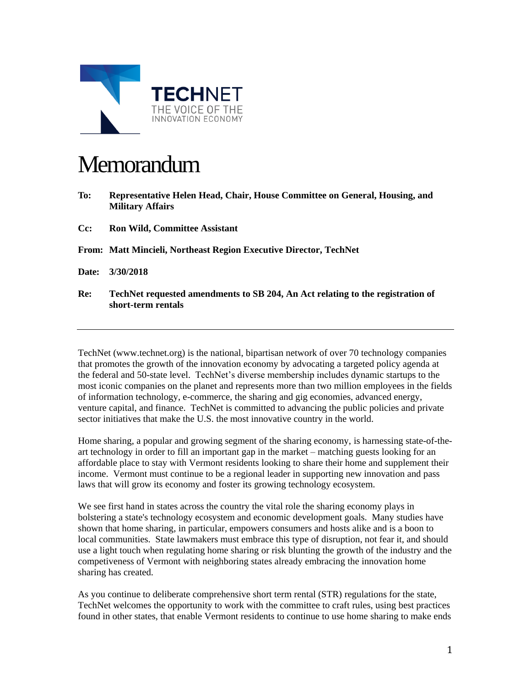

## **Memorandum**

- **To: Representative Helen Head, Chair, House Committee on General, Housing, and Military Affairs**
- **Cc: Ron Wild, Committee Assistant**

**From: Matt Mincieli, Northeast Region Executive Director, TechNet**

- **Date: 3/30/2018**
- **Re: TechNet requested amendments to SB 204, An Act relating to the registration of short-term rentals**

TechNet (www.technet.org) is the national, bipartisan network of over 70 technology companies that promotes the growth of the innovation economy by advocating a targeted policy agenda at the federal and 50-state level. TechNet's diverse membership includes dynamic startups to the most iconic companies on the planet and represents more than two million employees in the fields of information technology, e-commerce, the sharing and gig economies, advanced energy, venture capital, and finance. TechNet is committed to advancing the public policies and private sector initiatives that make the U.S. the most innovative country in the world.

Home sharing, a popular and growing segment of the sharing economy, is harnessing state-of-theart technology in order to fill an important gap in the market – matching guests looking for an affordable place to stay with Vermont residents looking to share their home and supplement their income. Vermont must continue to be a regional leader in supporting new innovation and pass laws that will grow its economy and foster its growing technology ecosystem.

We see first hand in states across the country the vital role the sharing economy plays in bolstering a state's technology ecosystem and economic development goals. Many studies have shown that home sharing, in particular, empowers consumers and hosts alike and is a boon to local communities. State lawmakers must embrace this type of disruption, not fear it, and should use a light touch when regulating home sharing or risk blunting the growth of the industry and the competiveness of Vermont with neighboring states already embracing the innovation home sharing has created.

As you continue to deliberate comprehensive short term rental (STR) regulations for the state, TechNet welcomes the opportunity to work with the committee to craft rules, using best practices found in other states, that enable Vermont residents to continue to use home sharing to make ends